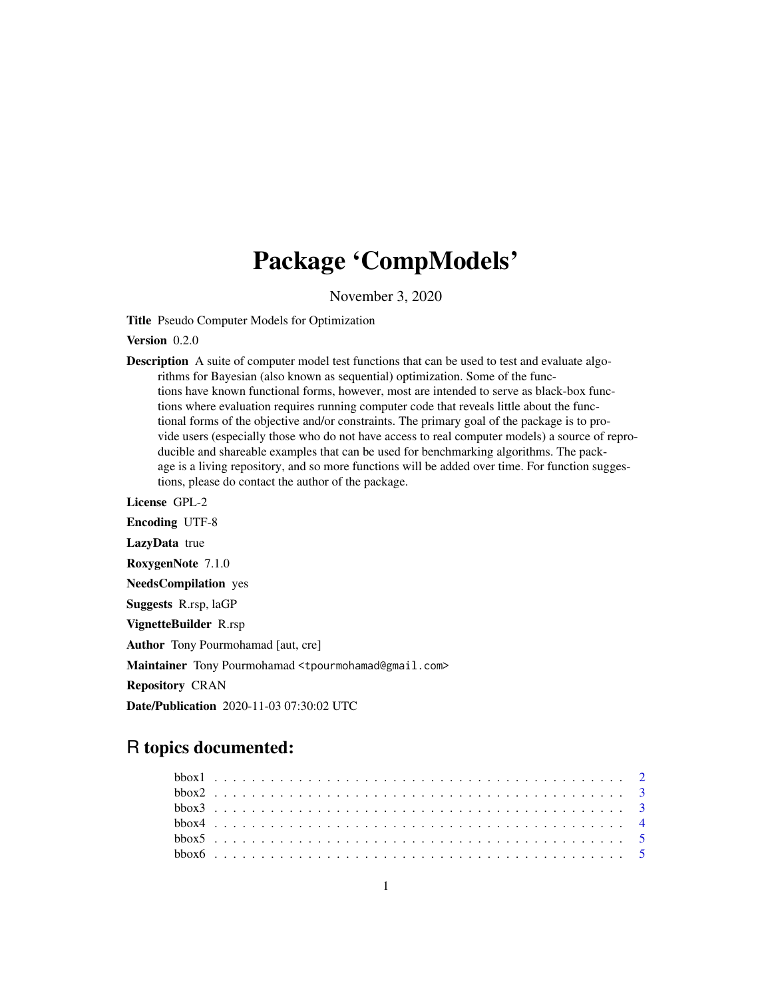## Package 'CompModels'

November 3, 2020

Title Pseudo Computer Models for Optimization

Version 0.2.0

Description A suite of computer model test functions that can be used to test and evaluate algorithms for Bayesian (also known as sequential) optimization. Some of the functions have known functional forms, however, most are intended to serve as black-box functions where evaluation requires running computer code that reveals little about the functional forms of the objective and/or constraints. The primary goal of the package is to provide users (especially those who do not have access to real computer models) a source of reproducible and shareable examples that can be used for benchmarking algorithms. The package is a living repository, and so more functions will be added over time. For function suggestions, please do contact the author of the package.

License GPL-2 Encoding UTF-8 LazyData true RoxygenNote 7.1.0 NeedsCompilation yes Suggests R.rsp, laGP VignetteBuilder R.rsp Author Tony Pourmohamad [aut, cre] Maintainer Tony Pourmohamad <tpourmohamad@gmail.com> Repository CRAN Date/Publication 2020-11-03 07:30:02 UTC

### R topics documented: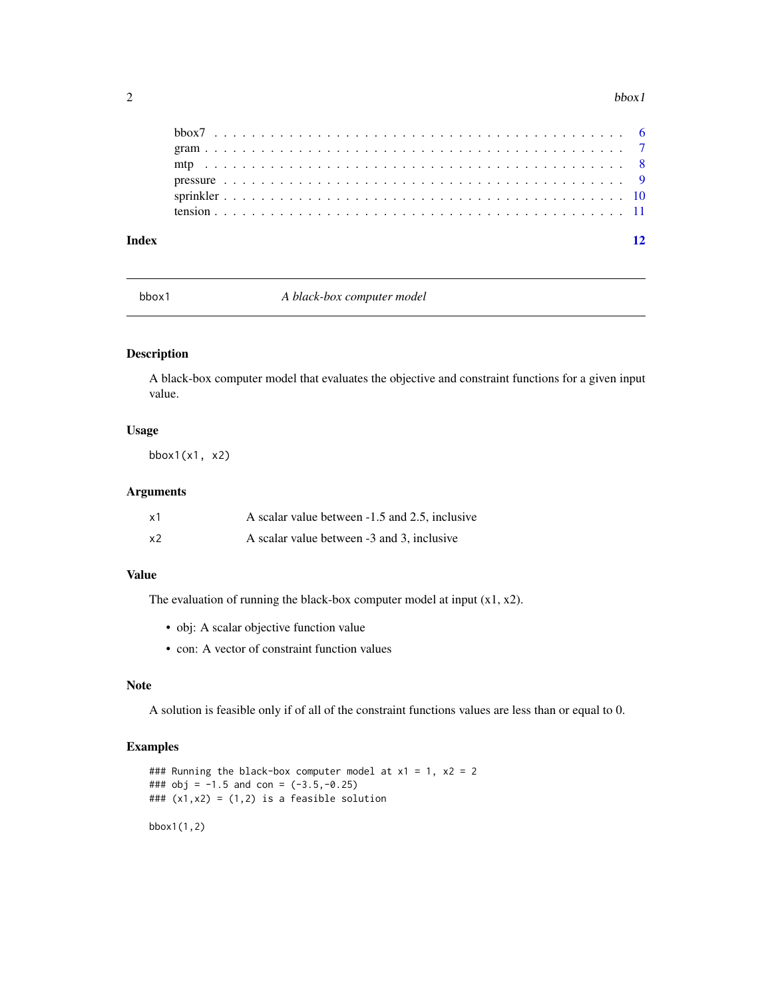#### <span id="page-1-0"></span>2 bbox1

| Index |  |  |  |  |  |  |  |  |  |  |  |  |  |  |  |  |  |  |  |  | 12 |
|-------|--|--|--|--|--|--|--|--|--|--|--|--|--|--|--|--|--|--|--|--|----|
|       |  |  |  |  |  |  |  |  |  |  |  |  |  |  |  |  |  |  |  |  |    |
|       |  |  |  |  |  |  |  |  |  |  |  |  |  |  |  |  |  |  |  |  |    |
|       |  |  |  |  |  |  |  |  |  |  |  |  |  |  |  |  |  |  |  |  |    |
|       |  |  |  |  |  |  |  |  |  |  |  |  |  |  |  |  |  |  |  |  |    |
|       |  |  |  |  |  |  |  |  |  |  |  |  |  |  |  |  |  |  |  |  |    |
|       |  |  |  |  |  |  |  |  |  |  |  |  |  |  |  |  |  |  |  |  |    |

bbox1 *A black-box computer model*

#### Description

A black-box computer model that evaluates the objective and constraint functions for a given input value.

#### Usage

bbox1(x1, x2)

#### Arguments

| x1 | A scalar value between -1.5 and 2.5, inclusive |
|----|------------------------------------------------|
| x2 | A scalar value between -3 and 3, inclusive     |

#### Value

The evaluation of running the black-box computer model at input  $(x1, x2)$ .

- obj: A scalar objective function value
- con: A vector of constraint function values

#### Note

A solution is feasible only if of all of the constraint functions values are less than or equal to 0.

#### Examples

### Running the black-box computer model at  $x1 = 1$ ,  $x2 = 2$ ###  $obj = -1.5$  and con =  $(-3.5, -0.25)$ ###  $(x1, x2) = (1, 2)$  is a feasible solution bbox1(1,2)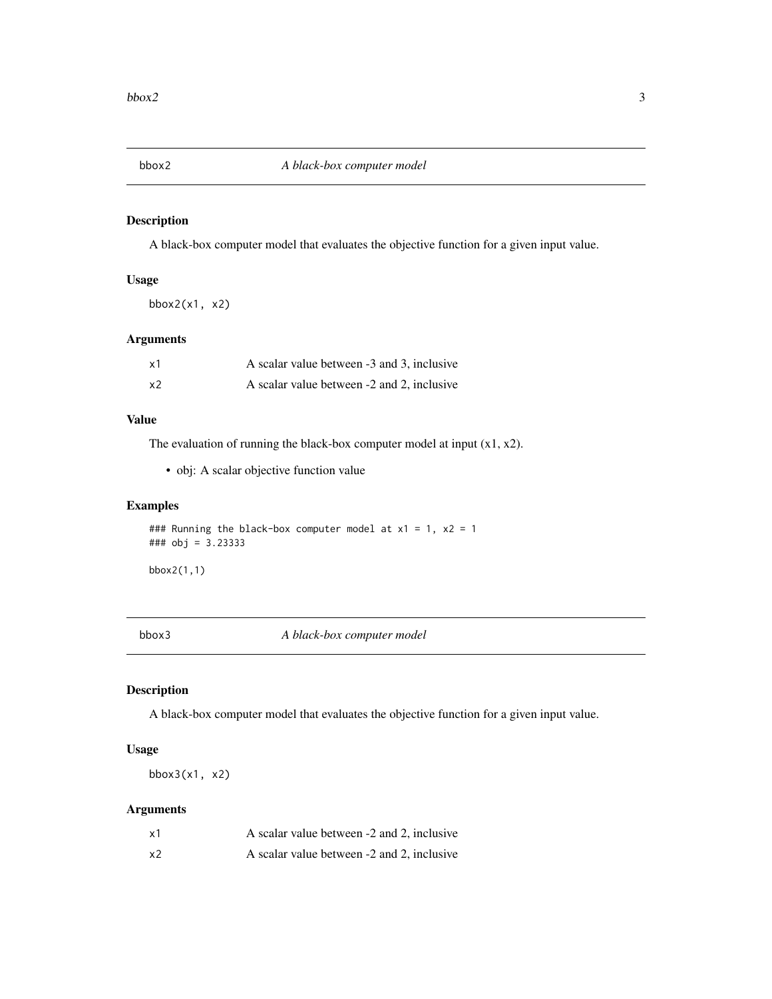<span id="page-2-0"></span>

A black-box computer model that evaluates the objective function for a given input value.

#### Usage

bbox2(x1, x2)

#### Arguments

| х1 | A scalar value between -3 and 3, inclusive |
|----|--------------------------------------------|
| x2 | A scalar value between -2 and 2, inclusive |

#### Value

The evaluation of running the black-box computer model at input  $(x1, x2)$ .

• obj: A scalar objective function value

#### Examples

### Running the black-box computer model at  $x1 = 1$ ,  $x2 = 1$ ### obj = 3.23333

bbox2(1,1)

bbox3 *A black-box computer model*

#### Description

A black-box computer model that evaluates the objective function for a given input value.

#### Usage

bbox $3(x1, x2)$ 

#### Arguments

| x1             | A scalar value between -2 and 2, inclusive |
|----------------|--------------------------------------------|
| x <sub>2</sub> | A scalar value between -2 and 2, inclusive |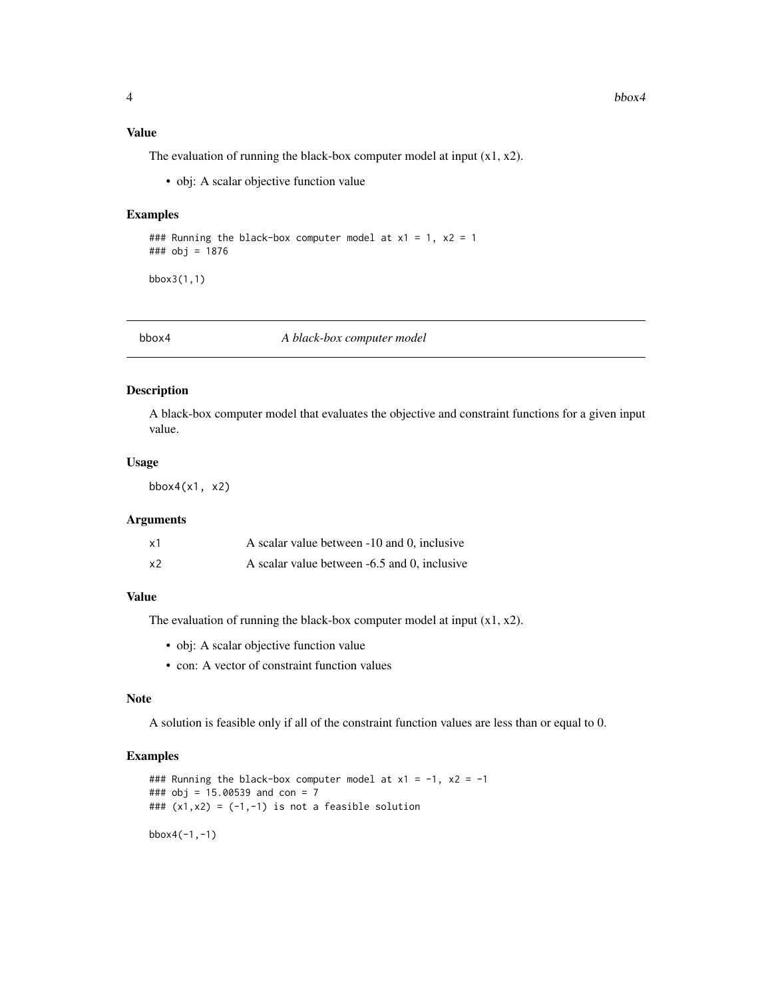#### <span id="page-3-0"></span>Value

The evaluation of running the black-box computer model at input  $(x1, x2)$ .

• obj: A scalar objective function value

#### Examples

```
### Running the black-box computer model at x1 = 1, x2 = 1### obj = 1876
```
bbox3(1,1)

bbox4 *A black-box computer model*

#### Description

A black-box computer model that evaluates the objective and constraint functions for a given input value.

#### Usage

bbox $4(x1, x2)$ 

#### Arguments

| х1 | A scalar value between -10 and 0, inclusive  |  |
|----|----------------------------------------------|--|
| х2 | A scalar value between -6.5 and 0, inclusive |  |

#### Value

The evaluation of running the black-box computer model at input  $(x1, x2)$ .

- obj: A scalar objective function value
- con: A vector of constraint function values

#### Note

A solution is feasible only if all of the constraint function values are less than or equal to 0.

#### Examples

### Running the black-box computer model at  $x1 = -1$ ,  $x2 = -1$ ### obj = 15.00539 and con = 7 ###  $(x1, x2) = (-1, -1)$  is not a feasible solution bbox4(-1,-1)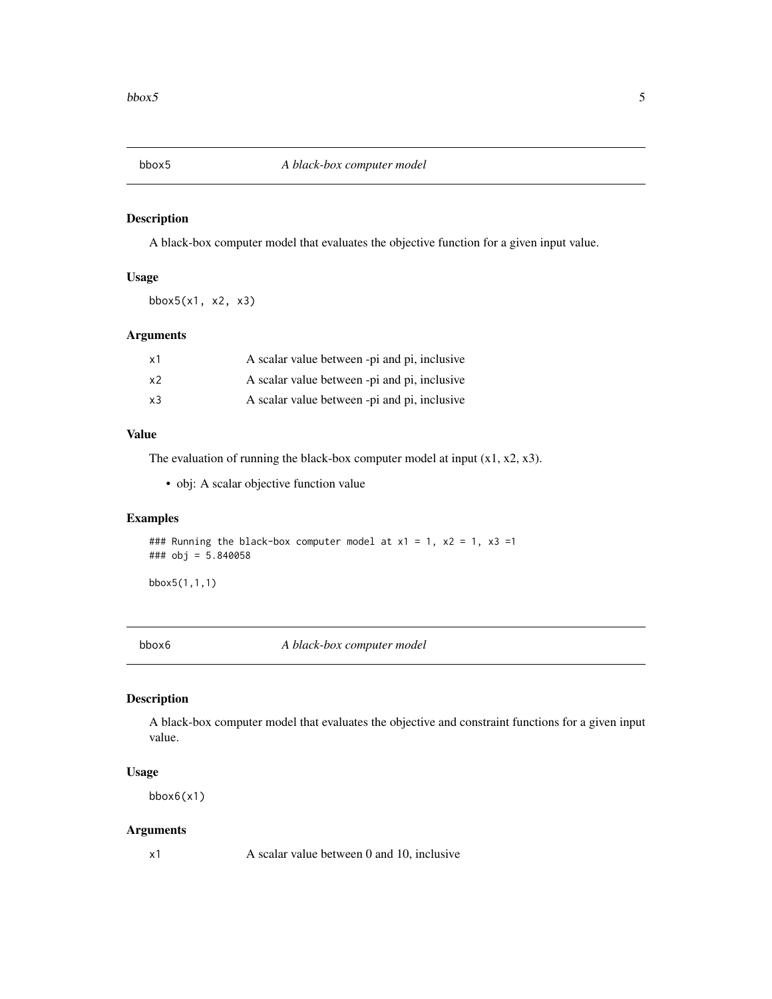<span id="page-4-0"></span>

A black-box computer model that evaluates the objective function for a given input value.

#### Usage

bbox5(x1, x2, x3)

#### Arguments

| x1             | A scalar value between -pi and pi, inclusive |
|----------------|----------------------------------------------|
| x <sub>2</sub> | A scalar value between -pi and pi, inclusive |
| x3             | A scalar value between -pi and pi, inclusive |

#### Value

The evaluation of running the black-box computer model at input  $(x1, x2, x3)$ .

• obj: A scalar objective function value

#### Examples

### Running the black-box computer model at  $x1 = 1$ ,  $x2 = 1$ ,  $x3 =1$ ### obj = 5.840058

bbox5(1,1,1)

bbox6 *A black-box computer model*

#### Description

A black-box computer model that evaluates the objective and constraint functions for a given input value.

#### Usage

bbox6(x1)

#### Arguments

x1 A scalar value between 0 and 10, inclusive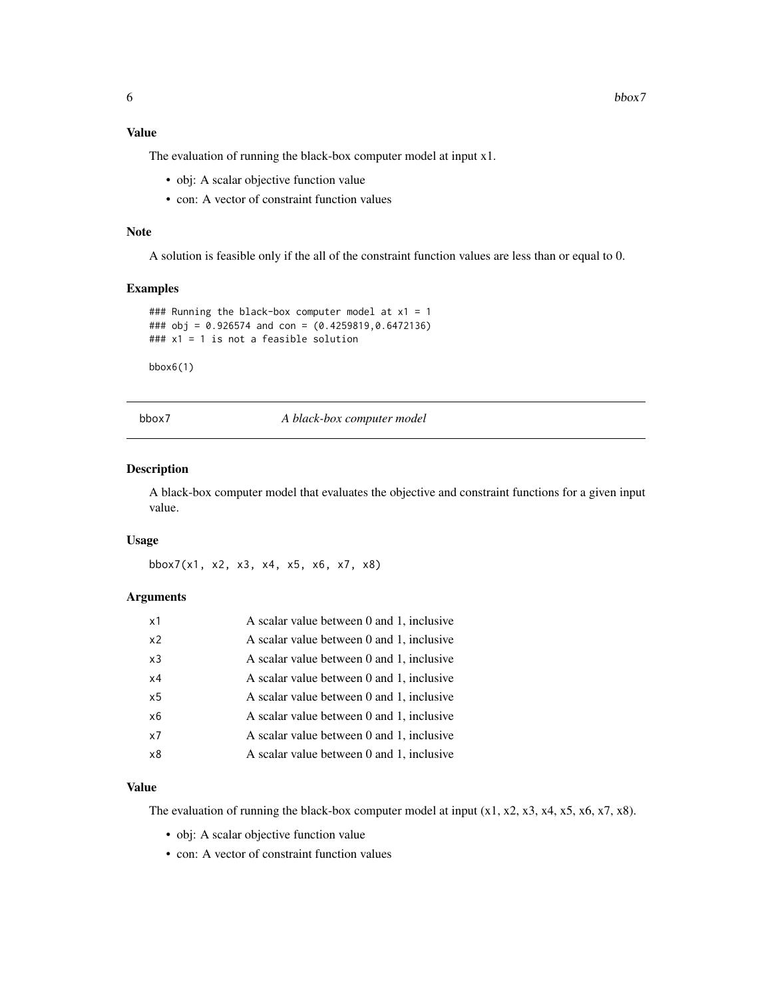#### <span id="page-5-0"></span>Value

The evaluation of running the black-box computer model at input x1.

- obj: A scalar objective function value
- con: A vector of constraint function values

#### Note

A solution is feasible only if the all of the constraint function values are less than or equal to 0.

#### Examples

```
### Running the black-box computer model at x1 = 1### obj = 0.926574 and con = (0.4259819,0.6472136)
### x1 = 1 is not a feasible solution
```
bbox6(1)

bbox7 *A black-box computer model*

#### Description

A black-box computer model that evaluates the objective and constraint functions for a given input value.

#### Usage

bbox7(x1, x2, x3, x4, x5, x6, x7, x8)

#### Arguments

| x1             | A scalar value between 0 and 1, inclusive |
|----------------|-------------------------------------------|
| x <sub>2</sub> | A scalar value between 0 and 1, inclusive |
| x3             | A scalar value between 0 and 1, inclusive |
| x4             | A scalar value between 0 and 1, inclusive |
| x <sub>5</sub> | A scalar value between 0 and 1, inclusive |
| x6             | A scalar value between 0 and 1, inclusive |
| x7             | A scalar value between 0 and 1, inclusive |
| x8             | A scalar value between 0 and 1, inclusive |

#### Value

The evaluation of running the black-box computer model at input  $(x1, x2, x3, x4, x5, x6, x7, x8)$ .

- obj: A scalar objective function value
- con: A vector of constraint function values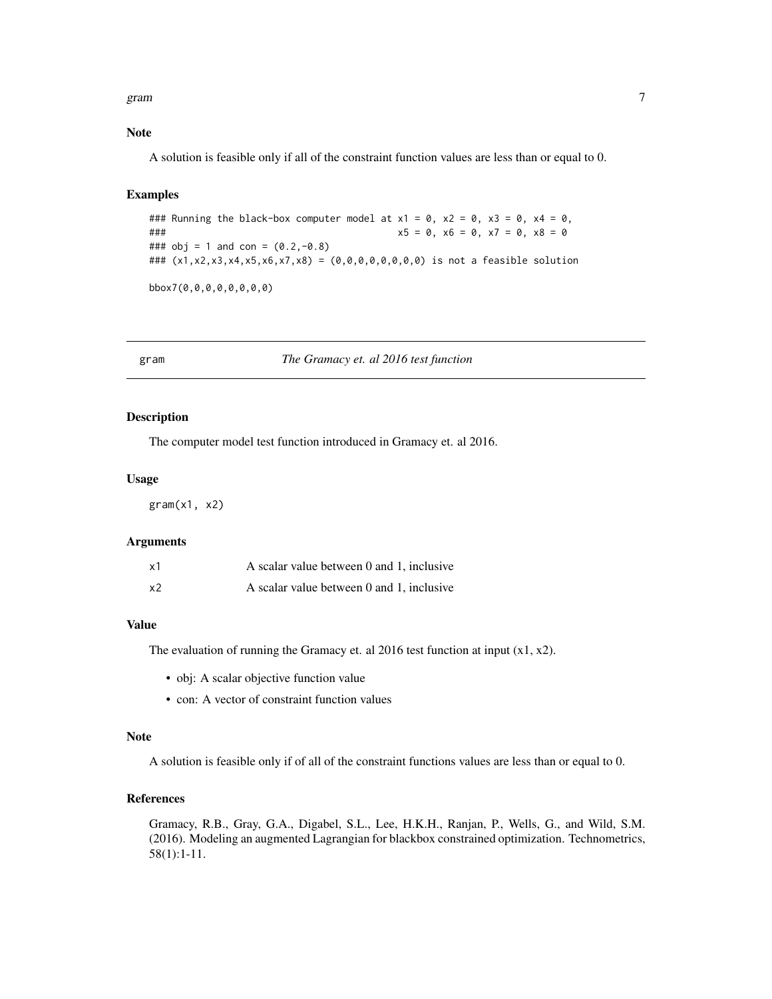<span id="page-6-0"></span>gram  $\sigma$  7 and 2012  $\sigma$  7 and 2013  $\sigma$  7 and 2013  $\sigma$  7 and 2013  $\sigma$  7 and 2013  $\sigma$  7 and 2013  $\sigma$  7 and 2013  $\sigma$  7 and 2013  $\sigma$  7 and 2013  $\sigma$  7 and 2013  $\sigma$  7 and 2013  $\sigma$  7 and 2013  $\sigma$  7 and 2013  $\sigma$  7 a

#### Note

A solution is feasible only if all of the constraint function values are less than or equal to 0.

#### Examples

### Running the black-box computer model at  $x1 = 0$ ,  $x2 = 0$ ,  $x3 = 0$ ,  $x4 = 0$ ,  $\# \# \#$  x5 = 0, x6 = 0, x7 = 0, x8 = 0 ### obj = 1 and con =  $(0.2,-0.8)$ ### (x1,x2,x3,x4,x5,x6,x7,x8) = (0,0,0,0,0,0,0,0) is not a feasible solution bbox7(0,0,0,0,0,0,0,0)

gram *The Gramacy et. al 2016 test function*

#### Description

The computer model test function introduced in Gramacy et. al 2016.

#### Usage

 $gram(x1, x2)$ 

#### Arguments

| х1 | A scalar value between 0 and 1, inclusive |  |
|----|-------------------------------------------|--|
| x2 | A scalar value between 0 and 1, inclusive |  |

#### Value

The evaluation of running the Gramacy et. al 2016 test function at input  $(x1, x2)$ .

- obj: A scalar objective function value
- con: A vector of constraint function values

#### Note

A solution is feasible only if of all of the constraint functions values are less than or equal to 0.

#### References

Gramacy, R.B., Gray, G.A., Digabel, S.L., Lee, H.K.H., Ranjan, P., Wells, G., and Wild, S.M. (2016). Modeling an augmented Lagrangian for blackbox constrained optimization. Technometrics, 58(1):1-11.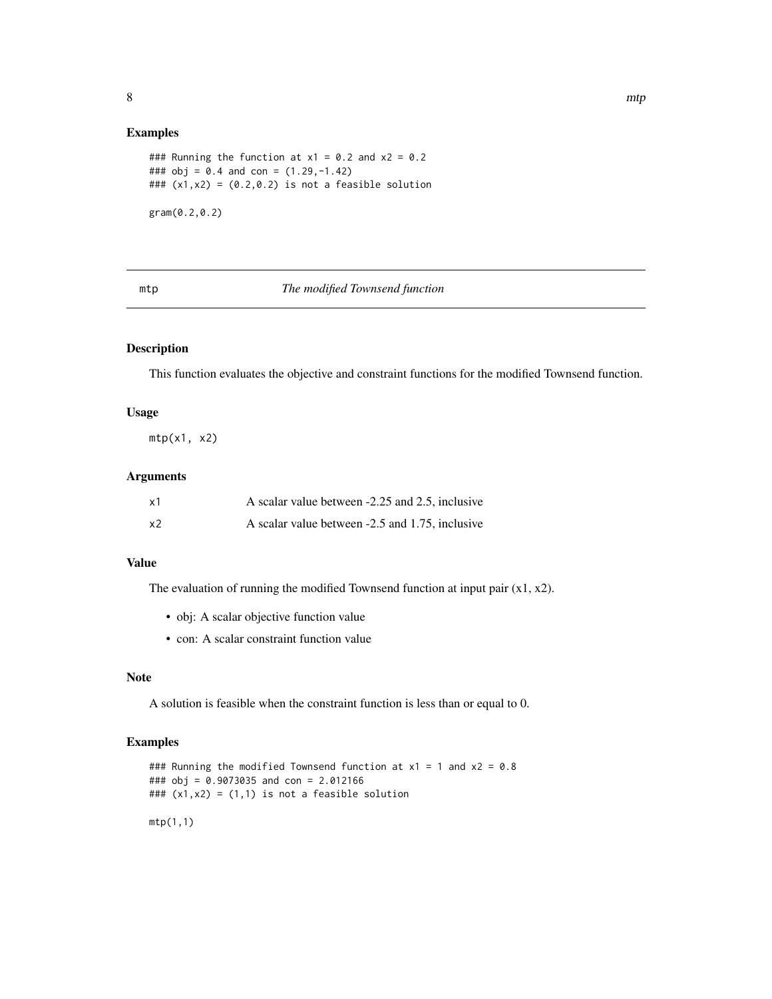#### <span id="page-7-0"></span>Examples

```
### Running the function at x1 = 0.2 and x2 = 0.2### obj = 0.4 and con = (1.29,-1.42)
### (x1, x2) = (0.2, 0.2) is not a feasible solution
gram(0.2,0.2)
```
#### mtp *The modified Townsend function*

#### Description

This function evaluates the objective and constraint functions for the modified Townsend function.

#### Usage

 $mtp(x1, x2)$ 

#### Arguments

| x1 | A scalar value between -2.25 and 2.5, inclusive |
|----|-------------------------------------------------|
| x2 | A scalar value between -2.5 and 1.75, inclusive |

#### Value

The evaluation of running the modified Townsend function at input pair  $(x1, x2)$ .

- obj: A scalar objective function value
- con: A scalar constraint function value

#### Note

A solution is feasible when the constraint function is less than or equal to 0.

#### Examples

```
### Running the modified Townsend function at x1 = 1 and x2 = 0.8### obj = 0.9073035 and con = 2.012166
### (x1, x2) = (1, 1) is not a feasible solution
mtp(1,1)
```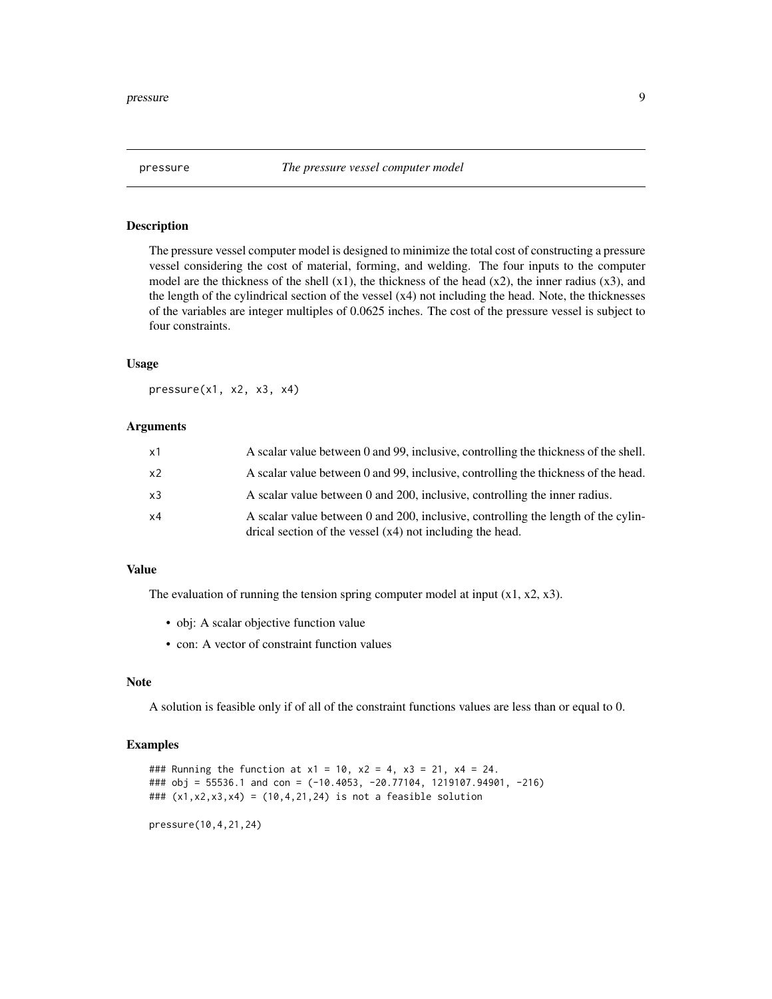<span id="page-8-0"></span>

The pressure vessel computer model is designed to minimize the total cost of constructing a pressure vessel considering the cost of material, forming, and welding. The four inputs to the computer model are the thickness of the shell  $(x1)$ , the thickness of the head  $(x2)$ , the inner radius  $(x3)$ , and the length of the cylindrical section of the vessel (x4) not including the head. Note, the thicknesses of the variables are integer multiples of 0.0625 inches. The cost of the pressure vessel is subject to four constraints.

#### Usage

pressure(x1, x2, x3, x4)

#### **Arguments**

| x1             | A scalar value between 0 and 99, inclusive, controlling the thickness of the shell.                                                              |
|----------------|--------------------------------------------------------------------------------------------------------------------------------------------------|
| x <sub>2</sub> | A scalar value between 0 and 99, inclusive, controlling the thickness of the head.                                                               |
| x3             | A scalar value between 0 and 200, inclusive, controlling the inner radius.                                                                       |
| x4             | A scalar value between 0 and 200, inclusive, controlling the length of the cylin-<br>drical section of the vessel $(x4)$ not including the head. |

#### Value

The evaluation of running the tension spring computer model at input  $(x1, x2, x3)$ .

- obj: A scalar objective function value
- con: A vector of constraint function values

#### Note

A solution is feasible only if of all of the constraint functions values are less than or equal to 0.

#### Examples

### Running the function at  $x1 = 10$ ,  $x2 = 4$ ,  $x3 = 21$ ,  $x4 = 24$ . ### obj = 55536.1 and con = (-10.4053, -20.77104, 1219107.94901, -216) ### (x1,x2,x3,x4) = (10,4,21,24) is not a feasible solution

pressure(10,4,21,24)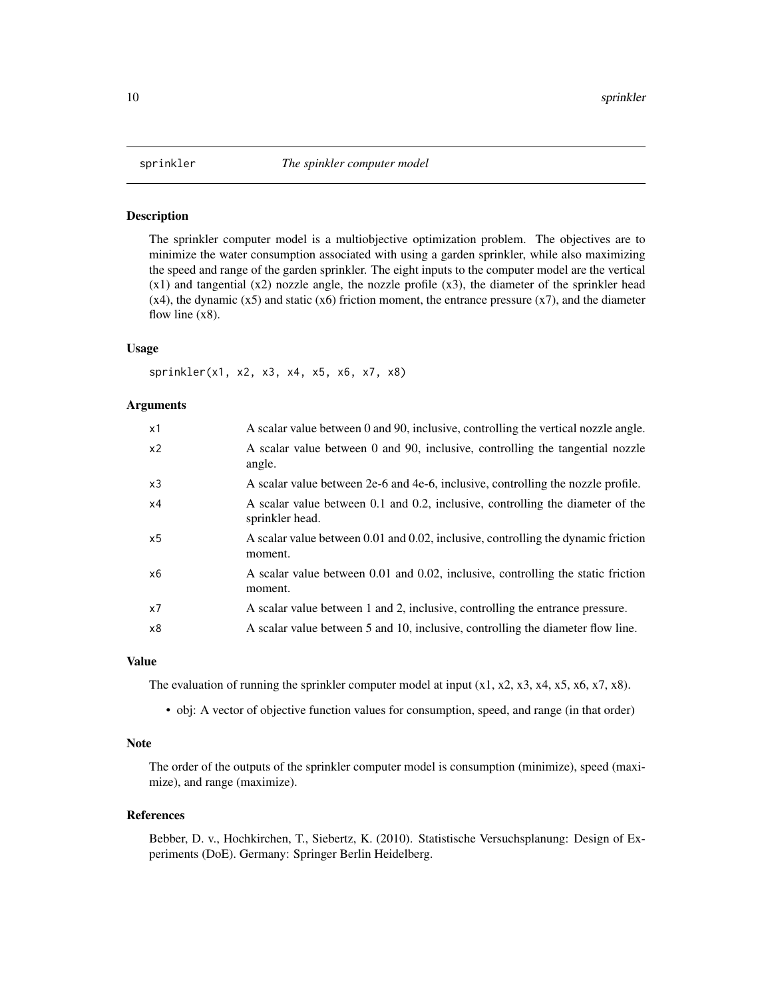<span id="page-9-0"></span>

The sprinkler computer model is a multiobjective optimization problem. The objectives are to minimize the water consumption associated with using a garden sprinkler, while also maximizing the speed and range of the garden sprinkler. The eight inputs to the computer model are the vertical  $(x1)$  and tangential  $(x2)$  nozzle angle, the nozzle profile  $(x3)$ , the diameter of the sprinkler head  $(x4)$ , the dynamic  $(x5)$  and static  $(x6)$  friction moment, the entrance pressure  $(x7)$ , and the diameter flow line  $(x8)$ .

#### Usage

sprinkler(x1, x2, x3, x4, x5, x6, x7, x8)

#### Arguments

| x1             | A scalar value between 0 and 90, inclusive, controlling the vertical nozzle angle.                |
|----------------|---------------------------------------------------------------------------------------------------|
| x <sub>2</sub> | A scalar value between 0 and 90, inclusive, controlling the tangential nozzle<br>angle.           |
| x3             | A scalar value between 2e-6 and 4e-6, inclusive, controlling the nozzle profile.                  |
| x4             | A scalar value between 0.1 and 0.2, inclusive, controlling the diameter of the<br>sprinkler head. |
| x5             | A scalar value between 0.01 and 0.02, inclusive, controlling the dynamic friction<br>moment.      |
| x6             | A scalar value between 0.01 and 0.02, inclusive, controlling the static friction<br>moment.       |
| x7             | A scalar value between 1 and 2, inclusive, controlling the entrance pressure.                     |
| x8             | A scalar value between 5 and 10, inclusive, controlling the diameter flow line.                   |
|                |                                                                                                   |

#### Value

The evaluation of running the sprinkler computer model at input  $(x1, x2, x3, x4, x5, x6, x7, x8)$ .

• obj: A vector of objective function values for consumption, speed, and range (in that order)

#### Note

The order of the outputs of the sprinkler computer model is consumption (minimize), speed (maximize), and range (maximize).

#### References

Bebber, D. v., Hochkirchen, T., Siebertz, K. (2010). Statistische Versuchsplanung: Design of Experiments (DoE). Germany: Springer Berlin Heidelberg.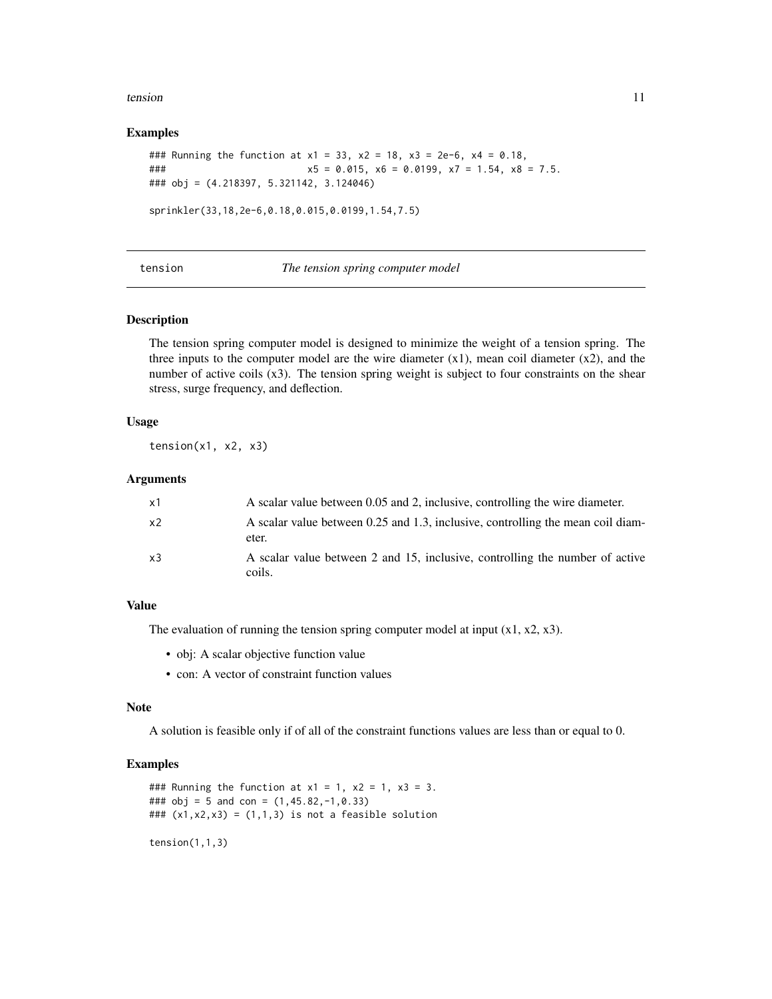#### <span id="page-10-0"></span>tension and the contract of the contract of the contract of the contract of the contract of the contract of the contract of the contract of the contract of the contract of the contract of the contract of the contract of th

#### Examples

```
### Running the function at x1 = 33, x2 = 18, x3 = 2e-6, x4 = 0.18,
### x5 = 0.015, x6 = 0.0199, x7 = 1.54, x8 = 7.5.
### obj = (4.218397, 5.321142, 3.124046)
sprinkler(33,18,2e-6,0.18,0.015,0.0199,1.54,7.5)
```
#### tension *The tension spring computer model*

#### Description

The tension spring computer model is designed to minimize the weight of a tension spring. The three inputs to the computer model are the wire diameter  $(x1)$ , mean coil diameter  $(x2)$ , and the number of active coils (x3). The tension spring weight is subject to four constraints on the shear stress, surge frequency, and deflection.

#### Usage

 $tension(x1, x2, x3)$ 

#### Arguments

| x1 | A scalar value between 0.05 and 2, inclusive, controlling the wire diameter.             |
|----|------------------------------------------------------------------------------------------|
| x2 | A scalar value between 0.25 and 1.3, inclusive, controlling the mean coil diam-<br>eter. |
| x3 | A scalar value between 2 and 15, inclusive, controlling the number of active<br>coils.   |

#### Value

The evaluation of running the tension spring computer model at input  $(x1, x2, x3)$ .

- obj: A scalar objective function value
- con: A vector of constraint function values

#### Note

A solution is feasible only if of all of the constraint functions values are less than or equal to 0.

#### Examples

```
### Running the function at x1 = 1, x2 = 1, x3 = 3.
### obj = 5 and con = (1,45.82,-1,0.33)
### (x1, x2, x3) = (1, 1, 3) is not a feasible solution
tension(1,1,3)
```